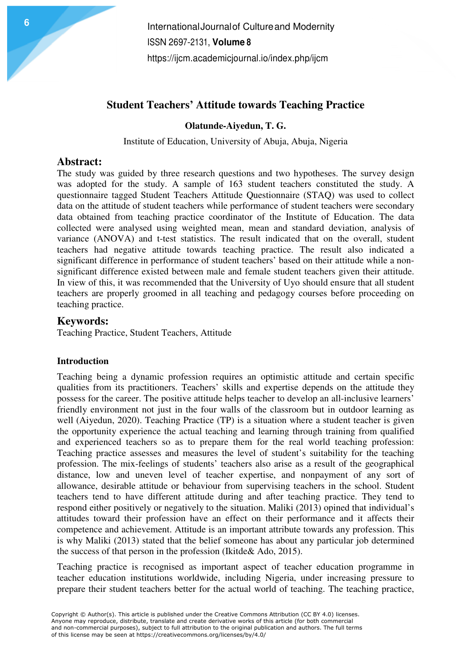## **Student Teachers' Attitude towards Teaching Practice**

**Olatunde-Aiyedun, T. G.** 

Institute of Education, University of Abuja, Abuja, Nigeria

## **Abstract:**

The study was guided by three research questions and two hypotheses. The survey design was adopted for the study. A sample of 163 student teachers constituted the study. A questionnaire tagged Student Teachers Attitude Questionnaire (STAQ) was used to collect data on the attitude of student teachers while performance of student teachers were secondary data obtained from teaching practice coordinator of the Institute of Education. The data collected were analysed using weighted mean, mean and standard deviation, analysis of variance (ANOVA) and t-test statistics. The result indicated that on the overall, student teachers had negative attitude towards teaching practice. The result also indicated a significant difference in performance of student teachers' based on their attitude while a nonsignificant difference existed between male and female student teachers given their attitude. In view of this, it was recommended that the University of Uyo should ensure that all student teachers are properly groomed in all teaching and pedagogy courses before proceeding on teaching practice.

## **Keywords:**

Teaching Practice, Student Teachers, Attitude

#### **Introduction**

Teaching being a dynamic profession requires an optimistic attitude and certain specific qualities from its practitioners. Teachers' skills and expertise depends on the attitude they possess for the career. The positive attitude helps teacher to develop an all-inclusive learners' friendly environment not just in the four walls of the classroom but in outdoor learning as well (Aiyedun, 2020). Teaching Practice (TP) is a situation where a student teacher is given the opportunity experience the actual teaching and learning through training from qualified and experienced teachers so as to prepare them for the real world teaching profession: Teaching practice assesses and measures the level of student's suitability for the teaching profession. The mix-feelings of students' teachers also arise as a result of the geographical distance, low and uneven level of teacher expertise, and nonpayment of any sort of allowance, desirable attitude or behaviour from supervising teachers in the school. Student teachers tend to have different attitude during and after teaching practice. They tend to respond either positively or negatively to the situation. Maliki (2013) opined that individual's attitudes toward their profession have an effect on their performance and it affects their competence and achievement. Attitude is an important attribute towards any profession. This is why Maliki (2013) stated that the belief someone has about any particular job determined the success of that person in the profession (Ikitde& Ado, 2015).

Teaching practice is recognised as important aspect of teacher education programme in teacher education institutions worldwide, including Nigeria, under increasing pressure to prepare their student teachers better for the actual world of teaching. The teaching practice,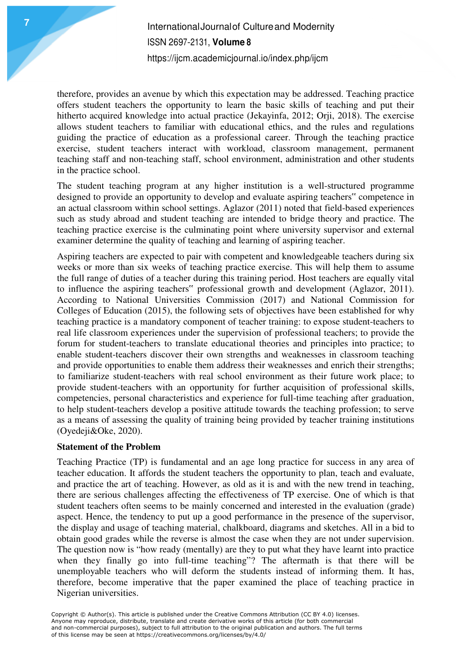therefore, provides an avenue by which this expectation may be addressed. Teaching practice offers student teachers the opportunity to learn the basic skills of teaching and put their hitherto acquired knowledge into actual practice (Jekayinfa, 2012; Orji, 2018). The exercise allows student teachers to familiar with educational ethics, and the rules and regulations guiding the practice of education as a professional career. Through the teaching practice exercise, student teachers interact with workload, classroom management, permanent teaching staff and non-teaching staff, school environment, administration and other students in the practice school.

The student teaching program at any higher institution is a well-structured programme designed to provide an opportunity to develop and evaluate aspiring teachers" competence in an actual classroom within school settings. Aglazor (2011) noted that field-based experiences such as study abroad and student teaching are intended to bridge theory and practice. The teaching practice exercise is the culminating point where university supervisor and external examiner determine the quality of teaching and learning of aspiring teacher.

Aspiring teachers are expected to pair with competent and knowledgeable teachers during six weeks or more than six weeks of teaching practice exercise. This will help them to assume the full range of duties of a teacher during this training period. Host teachers are equally vital to influence the aspiring teachers" professional growth and development (Aglazor, 2011). According to National Universities Commission (2017) and National Commission for Colleges of Education (2015), the following sets of objectives have been established for why teaching practice is a mandatory component of teacher training: to expose student-teachers to real life classroom experiences under the supervision of professional teachers; to provide the forum for student-teachers to translate educational theories and principles into practice; to enable student-teachers discover their own strengths and weaknesses in classroom teaching and provide opportunities to enable them address their weaknesses and enrich their strengths; to familiarize student-teachers with real school environment as their future work place; to provide student-teachers with an opportunity for further acquisition of professional skills, competencies, personal characteristics and experience for full-time teaching after graduation, to help student-teachers develop a positive attitude towards the teaching profession; to serve as a means of assessing the quality of training being provided by teacher training institutions (Oyedeji&Oke, 2020).

#### **Statement of the Problem**

Teaching Practice (TP) is fundamental and an age long practice for success in any area of teacher education. It affords the student teachers the opportunity to plan, teach and evaluate, and practice the art of teaching. However, as old as it is and with the new trend in teaching, there are serious challenges affecting the effectiveness of TP exercise. One of which is that student teachers often seems to be mainly concerned and interested in the evaluation (grade) aspect. Hence, the tendency to put up a good performance in the presence of the supervisor, the display and usage of teaching material, chalkboard, diagrams and sketches. All in a bid to obtain good grades while the reverse is almost the case when they are not under supervision. The question now is "how ready (mentally) are they to put what they have learnt into practice when they finally go into full-time teaching"? The aftermath is that there will be unemployable teachers who will deform the students instead of informing them. It has, therefore, become imperative that the paper examined the place of teaching practice in Nigerian universities.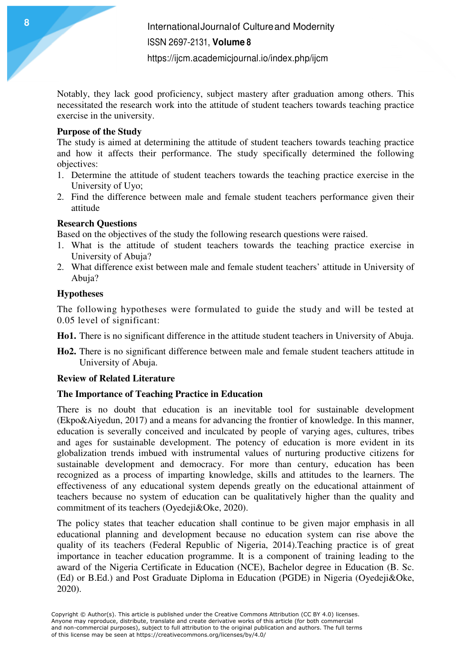Notably, they lack good proficiency, subject mastery after graduation among others. This necessitated the research work into the attitude of student teachers towards teaching practice exercise in the university.

#### **Purpose of the Study**

The study is aimed at determining the attitude of student teachers towards teaching practice and how it affects their performance. The study specifically determined the following objectives:

- 1. Determine the attitude of student teachers towards the teaching practice exercise in the University of Uyo;
- 2. Find the difference between male and female student teachers performance given their attitude

## **Research Questions**

Based on the objectives of the study the following research questions were raised.

- 1. What is the attitude of student teachers towards the teaching practice exercise in University of Abuja?
- 2. What difference exist between male and female student teachers' attitude in University of Abuja?

## **Hypotheses**

The following hypotheses were formulated to guide the study and will be tested at 0.05 level of significant:

**Ho1.** There is no significant difference in the attitude student teachers in University of Abuja.

**Ho2.** There is no significant difference between male and female student teachers attitude in University of Abuja.

## **Review of Related Literature**

## **The Importance of Teaching Practice in Education**

There is no doubt that education is an inevitable tool for sustainable development (Ekpo&Aiyedun, 2017) and a means for advancing the frontier of knowledge. In this manner, education is severally conceived and inculcated by people of varying ages, cultures, tribes and ages for sustainable development. The potency of education is more evident in its globalization trends imbued with instrumental values of nurturing productive citizens for sustainable development and democracy. For more than century, education has been recognized as a process of imparting knowledge, skills and attitudes to the learners. The effectiveness of any educational system depends greatly on the educational attainment of teachers because no system of education can be qualitatively higher than the quality and commitment of its teachers (Oyedeji&Oke, 2020).

The policy states that teacher education shall continue to be given major emphasis in all educational planning and development because no education system can rise above the quality of its teachers (Federal Republic of Nigeria, 2014).Teaching practice is of great importance in teacher education programme. It is a component of training leading to the award of the Nigeria Certificate in Education (NCE), Bachelor degree in Education (B. Sc. (Ed) or B.Ed.) and Post Graduate Diploma in Education (PGDE) in Nigeria (Oyedeji&Oke, 2020).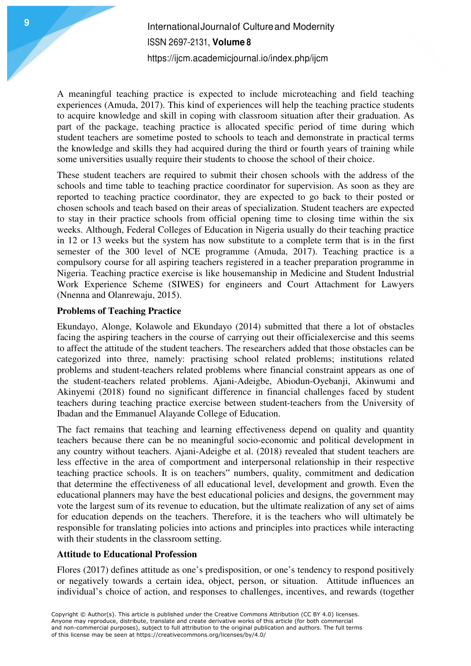A meaningful teaching practice is expected to include microteaching and field teaching experiences (Amuda, 2017). This kind of experiences will help the teaching practice students to acquire knowledge and skill in coping with classroom situation after their graduation. As part of the package, teaching practice is allocated specific period of time during which student teachers are sometime posted to schools to teach and demonstrate in practical terms the knowledge and skills they had acquired during the third or fourth years of training while some universities usually require their students to choose the school of their choice.

These student teachers are required to submit their chosen schools with the address of the schools and time table to teaching practice coordinator for supervision. As soon as they are reported to teaching practice coordinator, they are expected to go back to their posted or chosen schools and teach based on their areas of specialization. Student teachers are expected to stay in their practice schools from official opening time to closing time within the six weeks. Although, Federal Colleges of Education in Nigeria usually do their teaching practice in 12 or 13 weeks but the system has now substitute to a complete term that is in the first semester of the 300 level of NCE programme (Amuda, 2017). Teaching practice is a compulsory course for all aspiring teachers registered in a teacher preparation programme in Nigeria. Teaching practice exercise is like housemanship in Medicine and Student Industrial Work Experience Scheme (SIWES) for engineers and Court Attachment for Lawyers (Nnenna and Olanrewaju, 2015).

## **Problems of Teaching Practice**

Ekundayo, Alonge, Kolawole and Ekundayo (2014) submitted that there a lot of obstacles facing the aspiring teachers in the course of carrying out their officialexercise and this seems to affect the attitude of the student teachers. The researchers added that those obstacles can be categorized into three, namely: practising school related problems; institutions related problems and student-teachers related problems where financial constraint appears as one of the student-teachers related problems. Ajani-Adeigbe, Abiodun-Oyebanji, Akinwumi and Akinyemi (2018) found no significant difference in financial challenges faced by student teachers during teaching practice exercise between student-teachers from the University of Ibadan and the Emmanuel Alayande College of Education.

The fact remains that teaching and learning effectiveness depend on quality and quantity teachers because there can be no meaningful socio-economic and political development in any country without teachers. Ajani-Adeigbe et al. (2018) revealed that student teachers are less effective in the area of comportment and interpersonal relationship in their respective teaching practice schools. It is on teachers" numbers, quality, commitment and dedication that determine the effectiveness of all educational level, development and growth. Even the educational planners may have the best educational policies and designs, the government may vote the largest sum of its revenue to education, but the ultimate realization of any set of aims for education depends on the teachers. Therefore, it is the teachers who will ultimately be responsible for translating policies into actions and principles into practices while interacting with their students in the classroom setting.

#### **Attitude to Educational Profession**

Flores (2017) defines attitude as one's predisposition, or one's tendency to respond positively or negatively towards a certain idea, object, person, or situation. Attitude influences an individual's choice of action, and responses to challenges, incentives, and rewards (together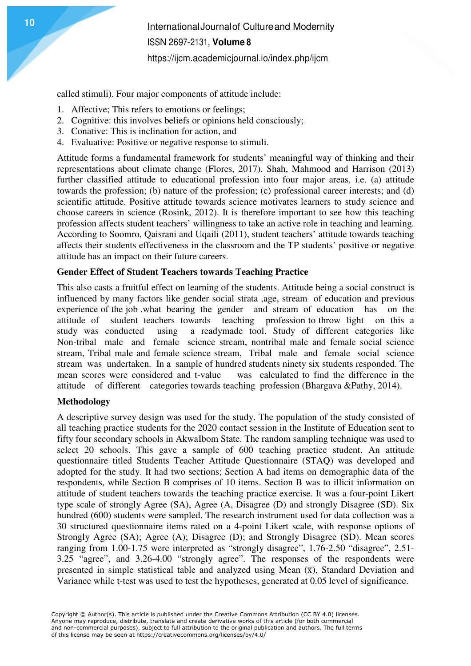called stimuli). Four major components of attitude include:

- 1. Affective; This refers to emotions or feelings;
- 2. Cognitive: this involves beliefs or opinions held consciously;
- 3. Conative: This is inclination for action, and
- 4. Evaluative: Positive or negative response to stimuli.

Attitude forms a fundamental framework for students' meaningful way of thinking and their representations about climate change (Flores, 2017). Shah, Mahmood and Harrison (2013) further classified attitude to educational profession into four major areas, i.e. (a) attitude towards the profession; (b) nature of the profession; (c) professional career interests; and (d) scientific attitude. Positive attitude towards science motivates learners to study science and choose careers in science (Rosink, 2012). It is therefore important to see how this teaching profession affects student teachers' willingness to take an active role in teaching and learning. According to Soomro, Qaisrani and Uqaili (2011), student teachers' attitude towards teaching affects their students effectiveness in the classroom and the TP students' positive or negative attitude has an impact on their future careers.

#### **Gender Effect of Student Teachers towards Teaching Practice**

This also casts a fruitful effect on learning of the students. Attitude being a social construct is influenced by many factors like gender social strata ,age, stream of education and previous experience of the job .what bearing the gender and stream of education has on the attitude of student teachers towards teaching profession to throw light on this a study was conducted using a readymade tool. Study of different categories like Non-tribal male and female science stream, nontribal male and female social science stream, Tribal male and female science stream, Tribal male and female social science stream was undertaken. In a sample of hundred students ninety six students responded. The mean scores were considered and t-value was calculated to find the difference in the attitude of different categories towards teaching profession (Bhargava &Pathy, 2014).

#### **Methodology**

A descriptive survey design was used for the study. The population of the study consisted of all teaching practice students for the 2020 contact session in the Institute of Education sent to fifty four secondary schools in AkwaIbom State. The random sampling technique was used to select 20 schools. This gave a sample of 600 teaching practice student. An attitude questionnaire titled Students Teacher Attitude Questionnaire (STAQ) was developed and adopted for the study. It had two sections; Section A had items on demographic data of the respondents, while Section B comprises of 10 items. Section B was to illicit information on attitude of student teachers towards the teaching practice exercise. It was a four-point Likert type scale of strongly Agree (SA), Agree (A, Disagree (D) and strongly Disagree (SD). Six hundred (600) students were sampled. The research instrument used for data collection was a 30 structured questionnaire items rated on a 4-point Likert scale, with response options of Strongly Agree (SA); Agree (A); Disagree (D); and Strongly Disagree (SD). Mean scores ranging from 1.00-1.75 were interpreted as "strongly disagree", 1.76-2.50 "disagree", 2.51- 3.25 "agree", and 3.26-4.00 "strongly agree". The responses of the respondents were presented in simple statistical table and analyzed using Mean  $(\overline{x})$ , Standard Deviation and Variance while t-test was used to test the hypotheses, generated at 0.05 level of significance.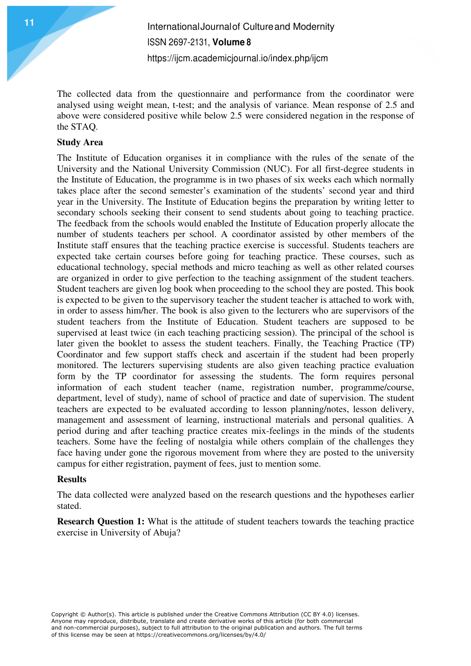The collected data from the questionnaire and performance from the coordinator were analysed using weight mean, t-test; and the analysis of variance. Mean response of 2.5 and above were considered positive while below 2.5 were considered negation in the response of the STAQ.

## **Study Area**

The Institute of Education organises it in compliance with the rules of the senate of the University and the National University Commission (NUC). For all first-degree students in the Institute of Education, the programme is in two phases of six weeks each which normally takes place after the second semester's examination of the students' second year and third year in the University. The Institute of Education begins the preparation by writing letter to secondary schools seeking their consent to send students about going to teaching practice. The feedback from the schools would enabled the Institute of Education properly allocate the number of students teachers per school. A coordinator assisted by other members of the Institute staff ensures that the teaching practice exercise is successful. Students teachers are expected take certain courses before going for teaching practice. These courses, such as educational technology, special methods and micro teaching as well as other related courses are organized in order to give perfection to the teaching assignment of the student teachers. Student teachers are given log book when proceeding to the school they are posted. This book is expected to be given to the supervisory teacher the student teacher is attached to work with, in order to assess him/her. The book is also given to the lecturers who are supervisors of the student teachers from the Institute of Education. Student teachers are supposed to be supervised at least twice (in each teaching practicing session). The principal of the school is later given the booklet to assess the student teachers. Finally, the Teaching Practice (TP) Coordinator and few support staffs check and ascertain if the student had been properly monitored. The lecturers supervising students are also given teaching practice evaluation form by the TP coordinator for assessing the students. The form requires personal information of each student teacher (name, registration number, programme/course, department, level of study), name of school of practice and date of supervision. The student teachers are expected to be evaluated according to lesson planning/notes, lesson delivery, management and assessment of learning, instructional materials and personal qualities. A period during and after teaching practice creates mix-feelings in the minds of the students teachers. Some have the feeling of nostalgia while others complain of the challenges they face having under gone the rigorous movement from where they are posted to the university campus for either registration, payment of fees, just to mention some.

#### **Results**

The data collected were analyzed based on the research questions and the hypotheses earlier stated.

**Research Question 1:** What is the attitude of student teachers towards the teaching practice exercise in University of Abuja?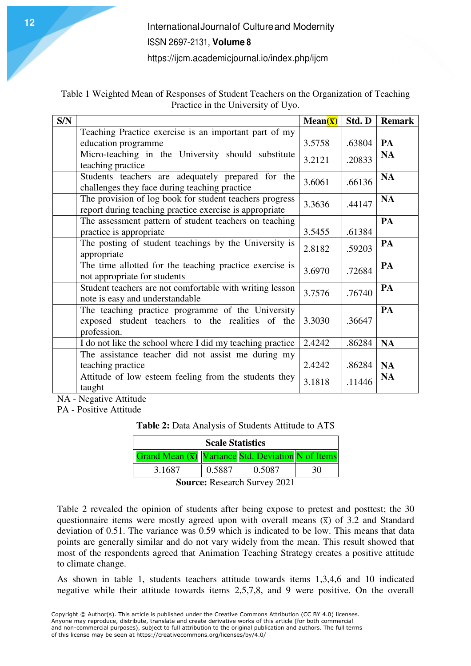Table 1 Weighted Mean of Responses of Student Teachers on the Organization of Teaching Practice in the University of Uyo.

| S/N |                                                                                                                      | Mean $(\bar{x})$ | Std. D | <b>Remark</b> |
|-----|----------------------------------------------------------------------------------------------------------------------|------------------|--------|---------------|
|     | Teaching Practice exercise is an important part of my                                                                |                  |        |               |
|     | education programme                                                                                                  | 3.5758           | .63804 | PA            |
|     | Micro-teaching in the University should substitute<br>teaching practice                                              | 3.2121           | .20833 | <b>NA</b>     |
|     | Students teachers are adequately prepared for the<br>challenges they face during teaching practice                   | 3.6061           | .66136 | <b>NA</b>     |
|     | The provision of log book for student teachers progress<br>report during teaching practice exercise is appropriate   | 3.3636           | .44147 | <b>NA</b>     |
|     | The assessment pattern of student teachers on teaching<br>practice is appropriate                                    | 3.5455           | .61384 | PA            |
|     | The posting of student teachings by the University is<br>appropriate                                                 | 2.8182           | .59203 | PA            |
|     | The time allotted for the teaching practice exercise is<br>not appropriate for students                              | 3.6970           | .72684 | PA            |
|     | Student teachers are not comfortable with writing lesson<br>note is easy and understandable                          | 3.7576           | .76740 | PA            |
|     | The teaching practice programme of the University<br>exposed student teachers to the realities of the<br>profession. | 3.3030           | .36647 | PA            |
|     | I do not like the school where I did my teaching practice                                                            | 2.4242           | .86284 | <b>NA</b>     |
|     | The assistance teacher did not assist me during my                                                                   |                  |        |               |
|     | teaching practice                                                                                                    | 2.4242           | .86284 | <b>NA</b>     |
|     | Attitude of low esteem feeling from the students they<br>taught                                                      | 3.1818           | .11446 | <b>NA</b>     |

NA - Negative Attitude

PA - Positive Attitude

**Table 2:** Data Analysis of Students Attitude to ATS

| <b>Scale Statistics</b>                                   |        |        |    |  |  |  |  |
|-----------------------------------------------------------|--------|--------|----|--|--|--|--|
| Grand Mean $(\bar{x})$ Variance Std. Deviation N of Items |        |        |    |  |  |  |  |
| 3.1687                                                    | 0.5887 | 0.5087 | 30 |  |  |  |  |
| Rempear Descende Currier 2021                             |        |        |    |  |  |  |  |

**Source:** Research Survey 2021

Table 2 revealed the opinion of students after being expose to pretest and posttest; the 30 questionnaire items were mostly agreed upon with overall means  $(\bar{x})$  of 3.2 and Standard deviation of 0.51. The variance was 0.59 which is indicated to be low. This means that data points are generally similar and do not vary widely from the mean. This result showed that most of the respondents agreed that Animation Teaching Strategy creates a positive attitude to climate change.

As shown in table 1, students teachers attitude towards items 1,3,4,6 and 10 indicated negative while their attitude towards items 2,5,7,8, and 9 were positive. On the overall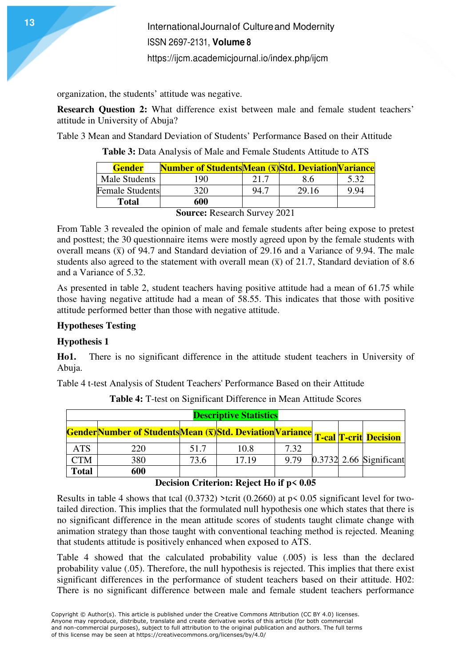organization, the students' attitude was negative.

**Research Question 2:** What difference exist between male and female student teachers' attitude in University of Abuja?

Table 3 Mean and Standard Deviation of Students' Performance Based on their Attitude

**Table 3:** Data Analysis of Male and Female Students Attitude to ATS

| <b>Gender</b>          | <b>Number of StudentsMean (x)Std. Deviation Variance</b> |      |       |      |
|------------------------|----------------------------------------------------------|------|-------|------|
| Male Students          | 190                                                      | 21.7 | 8.6   | 5.32 |
| <b>Female Students</b> | 320                                                      | 94.7 | 29.16 | 994  |
| Total                  | 600                                                      |      |       |      |

**Source:** Research Survey 2021

From Table 3 revealed the opinion of male and female students after being expose to pretest and posttest; the 30 questionnaire items were mostly agreed upon by the female students with overall means  $(\bar{x})$  of 94.7 and Standard deviation of 29.16 and a Variance of 9.94. The male students also agreed to the statement with overall mean  $(\bar{x})$  of 21.7, Standard deviation of 8.6 and a Variance of 5.32.

As presented in table 2, student teachers having positive attitude had a mean of 61.75 while those having negative attitude had a mean of 58.55. This indicates that those with positive attitude performed better than those with negative attitude.

#### **Hypotheses Testing**

#### **Hypothesis 1**

**Ho1.** There is no significant difference in the attitude student teachers in University of Abuja.

Table 4 t-test Analysis of Student Teachers' Performance Based on their Attitude

| <b>Descriptive Statistics</b> |                                                                                       |      |       |      |  |  |                           |  |
|-------------------------------|---------------------------------------------------------------------------------------|------|-------|------|--|--|---------------------------|--|
|                               |                                                                                       |      |       |      |  |  |                           |  |
|                               | <b>GenderNumber of StudentsMean (x) Std. Deviation Variance T-cal T-crit Decision</b> |      |       |      |  |  |                           |  |
| <b>ATS</b>                    | 220                                                                                   | 51.7 | 10.8  | 7.32 |  |  |                           |  |
| <b>CTM</b>                    | 380                                                                                   | 73.6 | 17.19 | 9.79 |  |  | $0.3732$ 2.66 Significant |  |
| <b>Total</b>                  | 600                                                                                   |      |       |      |  |  |                           |  |

**Table 4:** T-test on Significant Difference in Mean Attitude Scores

#### **Decision Criterion: Reject Ho if p< 0.05**

Results in table 4 shows that tcal  $(0.3732)$  >tcrit  $(0.2660)$  at p< 0.05 significant level for twotailed direction. This implies that the formulated null hypothesis one which states that there is no significant difference in the mean attitude scores of students taught climate change with animation strategy than those taught with conventional teaching method is rejected. Meaning that students attitude is positively enhanced when exposed to ATS.

Table 4 showed that the calculated probability value (.005) is less than the declared probability value (.05). Therefore, the null hypothesis is rejected. This implies that there exist significant differences in the performance of student teachers based on their attitude. H02: There is no significant difference between male and female student teachers performance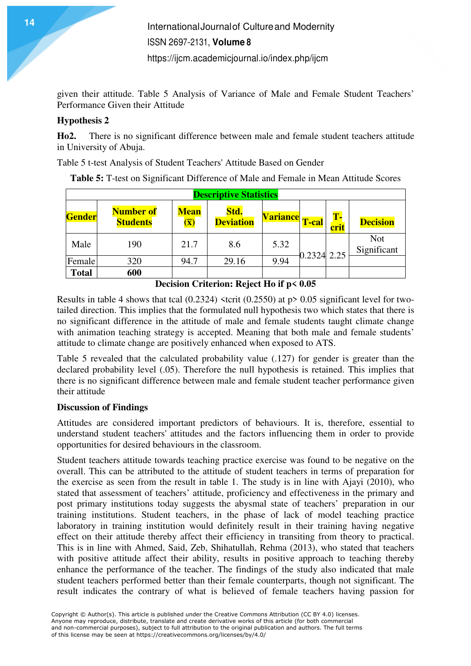given their attitude. Table 5 Analysis of Variance of Male and Female Student Teachers' Performance Given their Attitude

## **Hypothesis 2**

**Ho2.** There is no significant difference between male and female student teachers attitude in University of Abuja.

Table 5 t-test Analysis of Student Teachers' Attitude Based on Gender

**Table 5:** T-test on Significant Difference of Male and Female in Mean Attitude Scores

| <b>Descriptive Statistics</b> |                                     |                                                     |                          |                 |              |            |                           |
|-------------------------------|-------------------------------------|-----------------------------------------------------|--------------------------|-----------------|--------------|------------|---------------------------|
| Gender                        | <b>Number of</b><br><b>Students</b> | <b>Mean</b><br>$\left(\overline{\mathbf{X}}\right)$ | Std.<br><b>Deviation</b> | <b>Variance</b> | <b>T-cal</b> | T-<br>crit | <b>Decision</b>           |
| Male                          | 190                                 | 21.7                                                | 8.6                      | 5.32            | 0.2324 2.25  |            | <b>Not</b><br>Significant |
| Female                        | 320                                 | 94.7                                                | 29.16                    | 9.94            |              |            |                           |
| <b>Total</b>                  | 600                                 |                                                     |                          |                 |              |            |                           |

**Decision Criterion: Reject Ho if p< 0.05** 

Results in table 4 shows that tcal  $(0.2324)$  <tcrit  $(0.2550)$  at p> 0.05 significant level for twotailed direction. This implies that the formulated null hypothesis two which states that there is no significant difference in the attitude of male and female students taught climate change with animation teaching strategy is accepted. Meaning that both male and female students' attitude to climate change are positively enhanced when exposed to ATS.

Table 5 revealed that the calculated probability value (.127) for gender is greater than the declared probability level (.05). Therefore the null hypothesis is retained. This implies that there is no significant difference between male and female student teacher performance given their attitude

## **Discussion of Findings**

Attitudes are considered important predictors of behaviours. It is, therefore, essential to understand student teachers' attitudes and the factors influencing them in order to provide opportunities for desired behaviours in the classroom.

Student teachers attitude towards teaching practice exercise was found to be negative on the overall. This can be attributed to the attitude of student teachers in terms of preparation for the exercise as seen from the result in table 1. The study is in line with Ajayi (2010), who stated that assessment of teachers' attitude, proficiency and effectiveness in the primary and post primary institutions today suggests the abysmal state of teachers' preparation in our training institutions. Student teachers, in the phase of lack of model teaching practice laboratory in training institution would definitely result in their training having negative effect on their attitude thereby affect their efficiency in transiting from theory to practical. This is in line with Ahmed, Said, Zeb, Shihatullah, Rehma (2013), who stated that teachers with positive attitude affect their ability, results in positive approach to teaching thereby enhance the performance of the teacher. The findings of the study also indicated that male student teachers performed better than their female counterparts, though not significant. The result indicates the contrary of what is believed of female teachers having passion for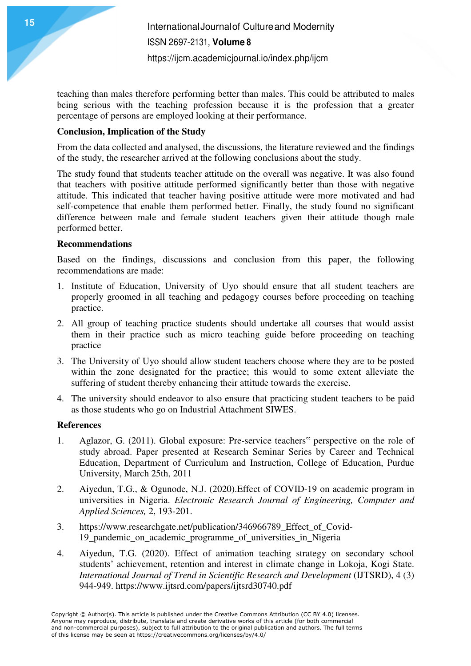teaching than males therefore performing better than males. This could be attributed to males being serious with the teaching profession because it is the profession that a greater percentage of persons are employed looking at their performance.

## **Conclusion, Implication of the Study**

From the data collected and analysed, the discussions, the literature reviewed and the findings of the study, the researcher arrived at the following conclusions about the study.

The study found that students teacher attitude on the overall was negative. It was also found that teachers with positive attitude performed significantly better than those with negative attitude. This indicated that teacher having positive attitude were more motivated and had self-competence that enable them performed better. Finally, the study found no significant difference between male and female student teachers given their attitude though male performed better.

#### **Recommendations**

Based on the findings, discussions and conclusion from this paper, the following recommendations are made:

- 1. Institute of Education, University of Uyo should ensure that all student teachers are properly groomed in all teaching and pedagogy courses before proceeding on teaching practice.
- 2. All group of teaching practice students should undertake all courses that would assist them in their practice such as micro teaching guide before proceeding on teaching practice
- 3. The University of Uyo should allow student teachers choose where they are to be posted within the zone designated for the practice; this would to some extent alleviate the suffering of student thereby enhancing their attitude towards the exercise.
- 4. The university should endeavor to also ensure that practicing student teachers to be paid as those students who go on Industrial Attachment SIWES.

#### **References**

- 1. Aglazor, G. (2011). Global exposure: Pre-service teachers" perspective on the role of study abroad. Paper presented at Research Seminar Series by Career and Technical Education, Department of Curriculum and Instruction, College of Education, Purdue University, March 25th, 2011
- 2. Aiyedun, T.G., & Ogunode, N.J. (2020).Effect of COVID-19 on academic program in universities in Nigeria. *Electronic Research Journal of Engineering, Computer and Applied Sciences,* 2, 193-201.
- 3. https://www.researchgate.net/publication/346966789\_Effect\_of\_Covid-19\_pandemic\_on\_academic\_programme\_of\_universities\_in\_Nigeria
- 4. Aiyedun, T.G. (2020). Effect of animation teaching strategy on secondary school students' achievement, retention and interest in climate change in Lokoja, Kogi State. *International Journal of Trend in Scientific Research and Development* (IJTSRD), 4 (3) 944-949. https://www.ijtsrd.com/papers/ijtsrd30740.pdf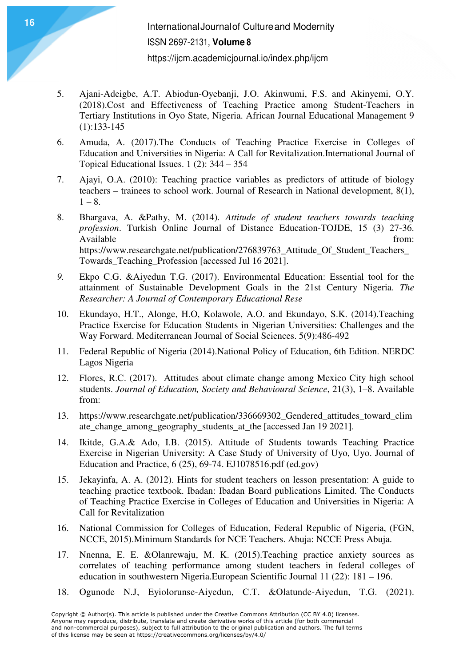- 5. Ajani-Adeigbe, A.T. Abiodun-Oyebanji, J.O. Akinwumi, F.S. and Akinyemi, O.Y. (2018).Cost and Effectiveness of Teaching Practice among Student-Teachers in Tertiary Institutions in Oyo State, Nigeria. African Journal Educational Management 9  $(1):133-145$
- 6. Amuda, A. (2017).The Conducts of Teaching Practice Exercise in Colleges of Education and Universities in Nigeria: A Call for Revitalization.International Journal of Topical Educational Issues. 1 (2): 344 – 354
- 7. Ajayi, O.A. (2010): Teaching practice variables as predictors of attitude of biology teachers – trainees to school work. Journal of Research in National development, 8(1),  $1 - 8$ .
- 8. Bhargava, A. &Pathy, M. (2014). *Attitude of student teachers towards teaching profession*. Turkish Online Journal of Distance Education-TOJDE, 15 (3) 27-36. Available from: https://www.researchgate.net/publication/276839763 Attitude Of Student Teachers Towards\_Teaching\_Profession [accessed Jul 16 2021].
- *9.* Ekpo C.G. &Aiyedun T.G. (2017). Environmental Education: Essential tool for the attainment of Sustainable Development Goals in the 21st Century Nigeria. *The Researcher: A Journal of Contemporary Educational Rese*
- 10. Ekundayo, H.T., Alonge, H.O, Kolawole, A.O. and Ekundayo, S.K. (2014).Teaching Practice Exercise for Education Students in Nigerian Universities: Challenges and the Way Forward. Mediterranean Journal of Social Sciences. 5(9):486-492
- 11. Federal Republic of Nigeria (2014).National Policy of Education, 6th Edition. NERDC Lagos Nigeria
- 12. Flores, R.C. (2017). Attitudes about climate change among Mexico City high school students. *Journal of Education, Society and Behavioural Science*, 21(3), 1–8. Available from:
- 13. https://www.researchgate.net/publication/336669302\_Gendered\_attitudes\_toward\_clim ate\_change\_among\_geography\_students\_at\_the [accessed Jan 19 2021].
- 14. Ikitde, G.A.& Ado, I.B. (2015). Attitude of Students towards Teaching Practice Exercise in Nigerian University: A Case Study of University of Uyo, Uyo. Journal of Education and Practice, 6 (25), 69-74. EJ1078516.pdf (ed.gov)
- 15. Jekayinfa, A. A. (2012). Hints for student teachers on lesson presentation: A guide to teaching practice textbook. Ibadan: Ibadan Board publications Limited. The Conducts of Teaching Practice Exercise in Colleges of Education and Universities in Nigeria: A Call for Revitalization
- 16. National Commission for Colleges of Education, Federal Republic of Nigeria, (FGN, NCCE, 2015).Minimum Standards for NCE Teachers. Abuja: NCCE Press Abuja.
- 17. Nnenna, E. E. &Olanrewaju, M. K. (2015).Teaching practice anxiety sources as correlates of teaching performance among student teachers in federal colleges of education in southwestern Nigeria.European Scientific Journal 11 (22): 181 – 196.
- 18. Ogunode N.J, Eyiolorunse-Aiyedun, C.T. &Olatunde-Aiyedun, T.G. (2021).